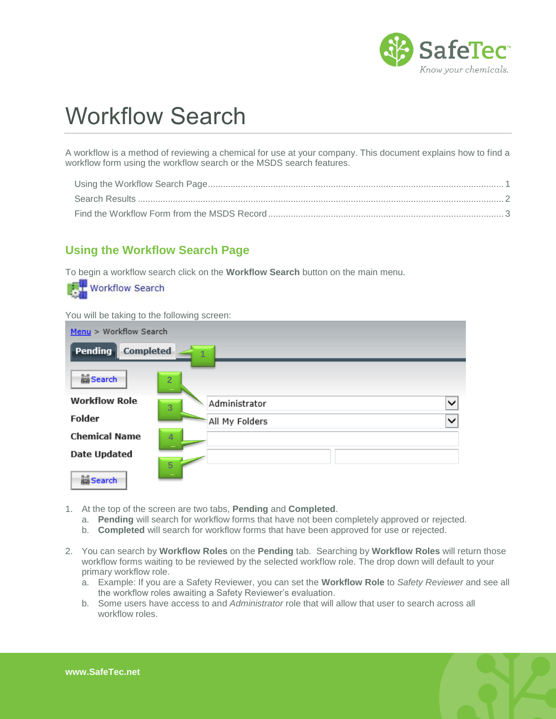

## Workflow Search

A workflow is a method of reviewing a chemical for use at your company. This document explains how to find a workflow form using the workflow search or the MSDS search features.

## <span id="page-0-0"></span>**Using the Workflow Search Page**

To begin a workflow search click on the **Workflow Search** button on the main menu.



- 1. At the top of the screen are two tabs, **Pending** and **Completed**.
	- a. **Pending** will search for workflow forms that have not been completely approved or rejected.
	- b. **Completed** will search for workflow forms that have been approved for use or rejected.
- 2. You can search by **Workflow Roles** on the **Pending** tab. Searching by **Workflow Roles** will return those workflow forms waiting to be reviewed by the selected workflow role. The drop down will default to your primary workflow role.
	- a. Example: If you are a Safety Reviewer, you can set the **Workflow Role** to *Safety Reviewer* and see all the workflow roles awaiting a Safety Reviewer's evaluation.
	- b. Some users have access to and *Administrator* role that will allow that user to search across all workflow roles.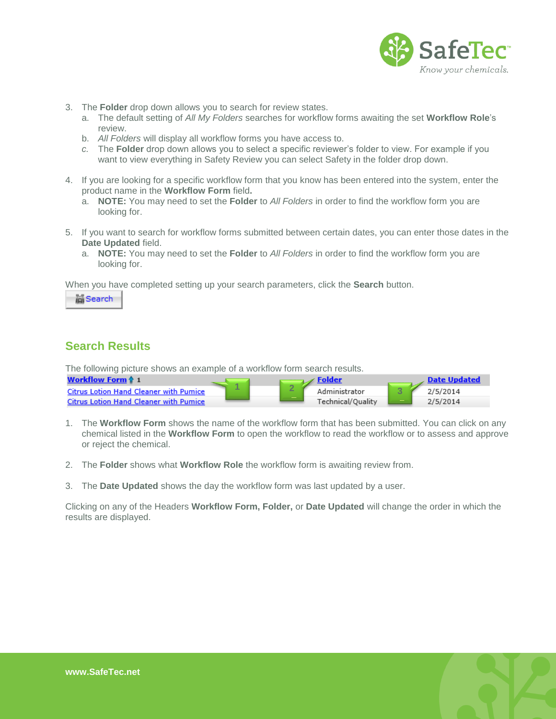

- 3. The **Folder** drop down allows you to search for review states.
	- a. The default setting of *All My Folders* searches for workflow forms awaiting the set **Workflow Role**'s review.
	- b. *All Folders* will display all workflow forms you have access to.
	- *c.* The **Folder** drop down allows you to select a specific reviewer's folder to view. For example if you want to view everything in Safety Review you can select Safety in the folder drop down.
- 4. If you are looking for a specific workflow form that you know has been entered into the system, enter the product name in the **Workflow Form** field**.**
	- a. **NOTE:** You may need to set the **Folder** to *All Folders* in order to find the workflow form you are looking for.
- 5. If you want to search for workflow forms submitted between certain dates, you can enter those dates in the **Date Updated** field.
	- a. **NOTE:** You may need to set the **Folder** to *All Folders* in order to find the workflow form you are looking for.

When you have completed setting up your search parameters, click the **Search** button.

**Search** 

## <span id="page-1-0"></span>**Search Results**

The following picture shows an example of a workflow form search results.

| <b>Workflow Form 4 1</b>                      |                          |   |                   | Date Undated |
|-----------------------------------------------|--------------------------|---|-------------------|--------------|
| <b>Citrus Lotion Hand Cleaner with Pumice</b> | $\overline{\phantom{a}}$ | L | Administrator     | 2/5/2014     |
| <b>Citrus Lotion Hand Cleaner with Pumice</b> |                          |   | Technical/Ouality | 2/5/2014     |

- 1. The **Workflow Form** shows the name of the workflow form that has been submitted. You can click on any chemical listed in the **Workflow Form** to open the workflow to read the workflow or to assess and approve or reject the chemical.
- 2. The **Folder** shows what **Workflow Role** the workflow form is awaiting review from.
- 3. The **Date Updated** shows the day the workflow form was last updated by a user.

Clicking on any of the Headers **Workflow Form, Folder,** or **Date Updated** will change the order in which the results are displayed.